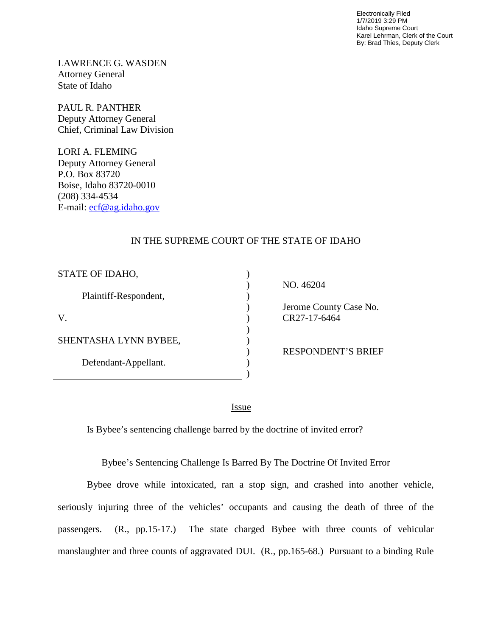Electronically Filed 1/7/2019 3:29 PM Idaho Supreme Court Karel Lehrman, Clerk of the Court By: Brad Thies, Deputy Clerk

LAWRENCE G. WASDEN Attorney General State of Idaho

PAUL R. PANTHER Deputy Attorney General Chief, Criminal Law Division

LORI A. FLEMING Deputy Attorney General P.O. Box 83720 Boise, Idaho 83720-0010 (208) 334-4534 E-mail: [ecf@ag.idaho.gov](mailto:ecf@ag.idaho.gov) 

## IN THE SUPREME COURT OF THE STATE OF IDAHO

| STATE OF IDAHO,       |                           |
|-----------------------|---------------------------|
|                       | NO. 46204                 |
| Plaintiff-Respondent, |                           |
|                       | Jerome County Case No.    |
|                       | CR27-17-6464              |
|                       |                           |
| SHENTASHA LYNN BYBEE, |                           |
|                       | <b>RESPONDENT'S BRIEF</b> |
| Defendant-Appellant.  |                           |
|                       |                           |

<u>Issue</u>

Is Bybee's sentencing challenge barred by the doctrine of invited error?

## Bybee's Sentencing Challenge Is Barred By The Doctrine Of Invited Error

Bybee drove while intoxicated, ran a stop sign, and crashed into another vehicle, seriously injuring three of the vehicles' occupants and causing the death of three of the passengers. (R., pp.15-17.) The state charged Bybee with three counts of vehicular manslaughter and three counts of aggravated DUI. (R., pp.165-68.) Pursuant to a binding Rule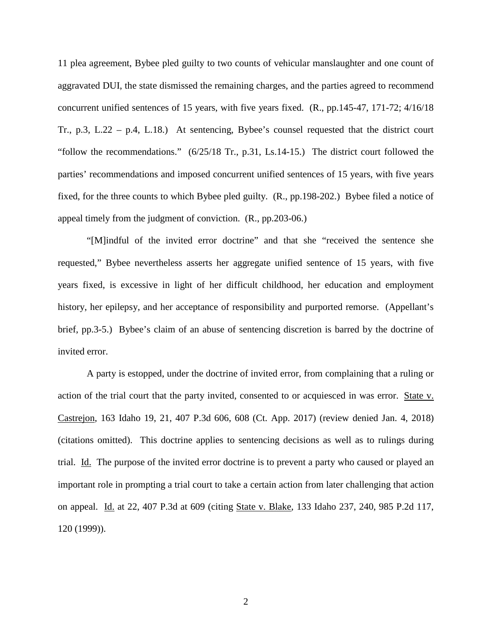11 plea agreement, Bybee pled guilty to two counts of vehicular manslaughter and one count of aggravated DUI, the state dismissed the remaining charges, and the parties agreed to recommend concurrent unified sentences of 15 years, with five years fixed. (R., pp.145-47, 171-72; 4/16/18 Tr., p.3, L.22 – p.4, L.18.) At sentencing, Bybee's counsel requested that the district court "follow the recommendations." (6/25/18 Tr., p.31, Ls.14-15.) The district court followed the parties' recommendations and imposed concurrent unified sentences of 15 years, with five years fixed, for the three counts to which Bybee pled guilty. (R., pp.198-202.) Bybee filed a notice of appeal timely from the judgment of conviction. (R., pp.203-06.)

"[M]indful of the invited error doctrine" and that she "received the sentence she requested," Bybee nevertheless asserts her aggregate unified sentence of 15 years, with five years fixed, is excessive in light of her difficult childhood, her education and employment history, her epilepsy, and her acceptance of responsibility and purported remorse. (Appellant's brief, pp.3-5.) Bybee's claim of an abuse of sentencing discretion is barred by the doctrine of invited error.

A party is estopped, under the doctrine of invited error, from complaining that a ruling or action of the trial court that the party invited, consented to or acquiesced in was error. State v. Castrejon, 163 Idaho 19, 21, 407 P.3d 606, 608 (Ct. App. 2017) (review denied Jan. 4, 2018) (citations omitted). This doctrine applies to sentencing decisions as well as to rulings during trial. Id. The purpose of the invited error doctrine is to prevent a party who caused or played an important role in prompting a trial court to take a certain action from later challenging that action on appeal. Id. at 22, 407 P.3d at 609 (citing State v. Blake, 133 Idaho 237, 240, 985 P.2d 117, 120 (1999)).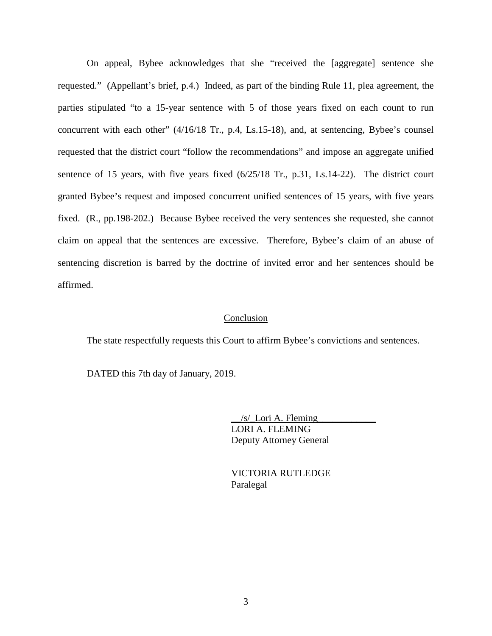On appeal, Bybee acknowledges that she "received the [aggregate] sentence she requested." (Appellant's brief, p.4.) Indeed, as part of the binding Rule 11, plea agreement, the parties stipulated "to a 15-year sentence with 5 of those years fixed on each count to run concurrent with each other" (4/16/18 Tr., p.4, Ls.15-18), and, at sentencing, Bybee's counsel requested that the district court "follow the recommendations" and impose an aggregate unified sentence of 15 years, with five years fixed (6/25/18 Tr., p.31, Ls.14-22). The district court granted Bybee's request and imposed concurrent unified sentences of 15 years, with five years fixed. (R., pp.198-202.) Because Bybee received the very sentences she requested, she cannot claim on appeal that the sentences are excessive. Therefore, Bybee's claim of an abuse of sentencing discretion is barred by the doctrine of invited error and her sentences should be affirmed.

## Conclusion

The state respectfully requests this Court to affirm Bybee's convictions and sentences.

DATED this 7th day of January, 2019.

 $/s/$  Lori A. Fleming LORI A. FLEMING Deputy Attorney General

 VICTORIA RUTLEDGE Paralegal